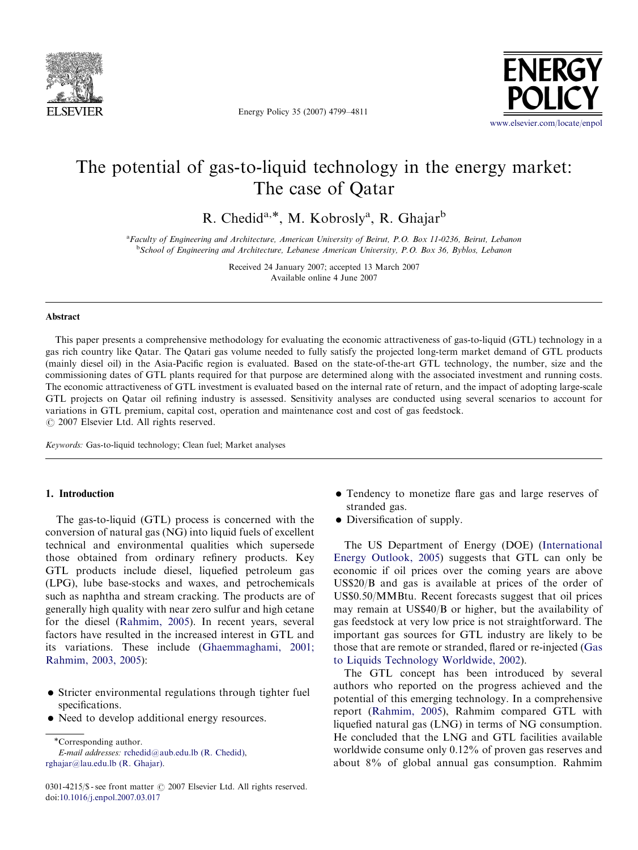

Energy Policy 35 (2007) 4799–4811



## The potential of gas-to-liquid technology in the energy market: The case of Qatar

R. Chedid<sup>a,\*</sup>, M. Kobrosly<sup>a</sup>, R. Ghajar<sup>b</sup>

<sup>a</sup> Faculty of Engineering and Architecture, American University of Beirut, P.O. Box 11-0236, Beirut, Lebanon <sup>b</sup>School of Engineering and Architecture, Lebanese American University, P.O. Box 36, Byblos, Lebanon

> Received 24 January 2007; accepted 13 March 2007 Available online 4 June 2007

#### Abstract

This paper presents a comprehensive methodology for evaluating the economic attractiveness of gas-to-liquid (GTL) technology in a gas rich country like Qatar. The Qatari gas volume needed to fully satisfy the projected long-term market demand of GTL products (mainly diesel oil) in the Asia-Pacific region is evaluated. Based on the state-of-the-art GTL technology, the number, size and the commissioning dates of GTL plants required for that purpose are determined along with the associated investment and running costs. The economic attractiveness of GTL investment is evaluated based on the internal rate of return, and the impact of adopting large-scale GTL projects on Qatar oil refining industry is assessed. Sensitivity analyses are conducted using several scenarios to account for variations in GTL premium, capital cost, operation and maintenance cost and cost of gas feedstock.  $C$  2007 Elsevier Ltd. All rights reserved.

Keywords: Gas-to-liquid technology; Clean fuel; Market analyses

### 1. Introduction

The gas-to-liquid (GTL) process is concerned with the conversion of natural gas (NG) into liquid fuels of excellent technical and environmental qualities which supersede those obtained from ordinary refinery products. Key GTL products include diesel, liquefied petroleum gas (LPG), lube base-stocks and waxes, and petrochemicals such as naphtha and stream cracking. The products are of generally high quality with near zero sulfur and high cetane for the diesel [\(Rahmim, 2005\)](#page--1-0). In recent years, several factors have resulted in the increased interest in GTL and its variations. These include [\(Ghaemmaghami, 2001;](#page--1-0) [Rahmim, 2003, 2005\)](#page--1-0):

- Stricter environmental regulations through tighter fuel specifications.
- $\bullet$  Need to develop additional energy resources.

-Corresponding author. E-mail addresses: [rchedid@aub.edu.lb \(R. Chedid\)](mailto:rchedid@aub.edu.lb), [rghajar@lau.edu.lb \(R. Ghajar\).](mailto:rghajar@lau.edu.lb)

- Tendency to monetize flare gas and large reserves of stranded gas.
- $\bullet$  Diversification of supply.

The US Department of Energy (DOE) [\(International](#page--1-0) [Energy Outlook, 2005\)](#page--1-0) suggests that GTL can only be economic if oil prices over the coming years are above US\$20/B and gas is available at prices of the order of US\$0.50/MMBtu. Recent forecasts suggest that oil prices may remain at US\$40/B or higher, but the availability of gas feedstock at very low price is not straightforward. The important gas sources for GTL industry are likely to be those that are remote or stranded, flared or re-injected [\(Gas](#page--1-0) [to Liquids Technology Worldwide, 2002](#page--1-0)).

The GTL concept has been introduced by several authors who reported on the progress achieved and the potential of this emerging technology. In a comprehensive report [\(Rahmim, 2005](#page--1-0)), Rahmim compared GTL with liquefied natural gas (LNG) in terms of NG consumption. He concluded that the LNG and GTL facilities available worldwide consume only 0.12% of proven gas reserves and about 8% of global annual gas consumption. Rahmim

<sup>0301-4215/</sup> $\$  - see front matter  $\circ$  2007 Elsevier Ltd. All rights reserved. doi:[10.1016/j.enpol.2007.03.017](dx.doi.org/10.1016/j.enpol.2007.03.017)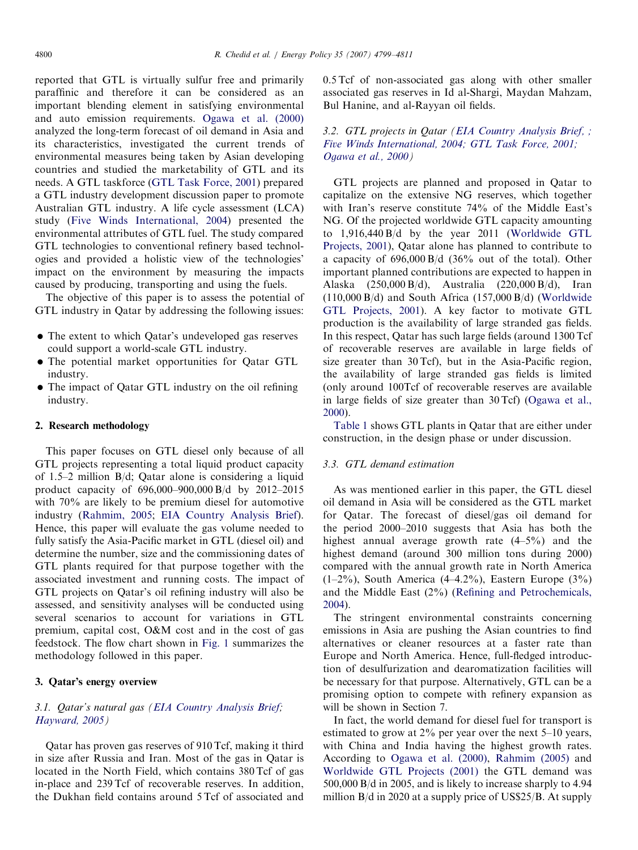reported that GTL is virtually sulfur free and primarily paraffinic and therefore it can be considered as an important blending element in satisfying environmental and auto emission requirements. [Ogawa et al. \(2000\)](#page--1-0) analyzed the long-term forecast of oil demand in Asia and its characteristics, investigated the current trends of environmental measures being taken by Asian developing countries and studied the marketability of GTL and its needs. A GTL taskforce ([GTL Task Force, 2001\)](#page--1-0) prepared a GTL industry development discussion paper to promote Australian GTL industry. A life cycle assessment (LCA) study [\(Five Winds International, 2004](#page--1-0)) presented the environmental attributes of GTL fuel. The study compared GTL technologies to conventional refinery based technologies and provided a holistic view of the technologies' impact on the environment by measuring the impacts caused by producing, transporting and using the fuels.

The objective of this paper is to assess the potential of GTL industry in Qatar by addressing the following issues:

- The extent to which Qatar's undeveloped gas reserves could support a world-scale GTL industry.
- $\bullet$  The potential market opportunities for Qatar GTL industry.
- The impact of Qatar GTL industry on the oil refining industry.

#### 2. Research methodology

This paper focuses on GTL diesel only because of all GTL projects representing a total liquid product capacity of 1.5–2 million B/d; Qatar alone is considering a liquid product capacity of 696,000–900,000 B/d by 2012–2015 with 70% are likely to be premium diesel for automotive industry ([Rahmim, 2005](#page--1-0); [EIA Country Analysis Brief\)](#page--1-0). Hence, this paper will evaluate the gas volume needed to fully satisfy the Asia-Pacific market in GTL (diesel oil) and determine the number, size and the commissioning dates of GTL plants required for that purpose together with the associated investment and running costs. The impact of GTL projects on Qatar's oil refining industry will also be assessed, and sensitivity analyses will be conducted using several scenarios to account for variations in GTL premium, capital cost, O&M cost and in the cost of gas feedstock. The flow chart shown in [Fig. 1](#page--1-0) summarizes the methodology followed in this paper.

#### 3. Qatar's energy overview

### 3.1. Qatar's natural gas [\(EIA Country Analysis Brief](#page--1-0); [Hayward, 2005](#page--1-0))

Qatar has proven gas reserves of 910 Tcf, making it third in size after Russia and Iran. Most of the gas in Qatar is located in the North Field, which contains 380 Tcf of gas in-place and 239 Tcf of recoverable reserves. In addition, the Dukhan field contains around 5 Tcf of associated and 0.5 Tcf of non-associated gas along with other smaller associated gas reserves in Id al-Shargi, Maydan Mahzam, Bul Hanine, and al-Rayyan oil fields.

## 3.2. GTL projects in Qatar ([EIA Country Analysis Brief, ;](#page--1-0) [Five Winds International, 2004; GTL Task Force, 2001;](#page--1-0) [Ogawa et al., 2000\)](#page--1-0)

GTL projects are planned and proposed in Qatar to capitalize on the extensive NG reserves, which together with Iran's reserve constitute 74% of the Middle East's NG. Of the projected worldwide GTL capacity amounting to 1,916,440 B/d by the year 2011 ([Worldwide GTL](#page--1-0) [Projects, 2001](#page--1-0)), Qatar alone has planned to contribute to a capacity of 696,000 B/d (36% out of the total). Other important planned contributions are expected to happen in Alaska (250,000 B/d), Australia (220,000 B/d), Iran  $(110,000 B/d)$  and South Africa  $(157,000 B/d)$  ([Worldwide](#page--1-0) [GTL Projects, 2001\)](#page--1-0). A key factor to motivate GTL production is the availability of large stranded gas fields. In this respect, Qatar has such large fields (around 1300 Tcf of recoverable reserves are available in large fields of size greater than 30 Tcf), but in the Asia-Pacific region, the availability of large stranded gas fields is limited (only around 100Tcf of recoverable reserves are available in large fields of size greater than 30 Tcf) [\(Ogawa et al.,](#page--1-0) [2000\)](#page--1-0).

[Table 1](#page--1-0) shows GTL plants in Qatar that are either under construction, in the design phase or under discussion.

#### 3.3. GTL demand estimation

As was mentioned earlier in this paper, the GTL diesel oil demand in Asia will be considered as the GTL market for Qatar. The forecast of diesel/gas oil demand for the period 2000–2010 suggests that Asia has both the highest annual average growth rate (4–5%) and the highest demand (around 300 million tons during 2000) compared with the annual growth rate in North America  $(1-2\%)$ , South America  $(4-4.2\%)$ , Eastern Europe  $(3\%)$ and the Middle East (2%) ([Refining and Petrochemicals,](#page--1-0) [2004\)](#page--1-0).

The stringent environmental constraints concerning emissions in Asia are pushing the Asian countries to find alternatives or cleaner resources at a faster rate than Europe and North America. Hence, full-fledged introduction of desulfurization and dearomatization facilities will be necessary for that purpose. Alternatively, GTL can be a promising option to compete with refinery expansion as will be shown in Section 7.

In fact, the world demand for diesel fuel for transport is estimated to grow at 2% per year over the next 5–10 years, with China and India having the highest growth rates. According to [Ogawa et al. \(2000\),](#page--1-0) [Rahmim \(2005\)](#page--1-0) and [Worldwide GTL Projects \(2001\)](#page--1-0) the GTL demand was 500,000 B/d in 2005, and is likely to increase sharply to 4.94 million B/d in 2020 at a supply price of US\$25/B. At supply